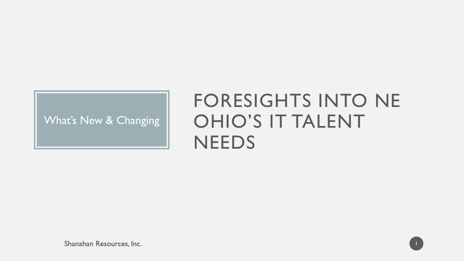### What's New & Changing

# FORESIGHTS INTO NE OHIO'S IT TALENT **NEEDS**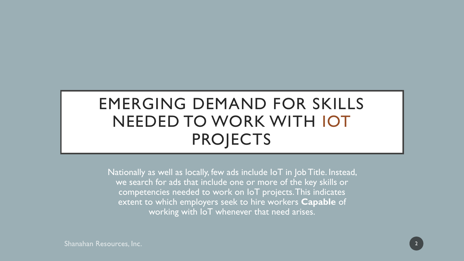# EMERGING DEMAND FOR SKILLS NEEDED TO WORK WITH IOT PROJECTS

Nationally as well as locally, few ads include IoT in Job Title. Instead, we search for ads that include one or more of the key skills or competencies needed to work on IoT projects. This indicates extent to which employers seek to hire workers **Capable** of working with IoT whenever that need arises.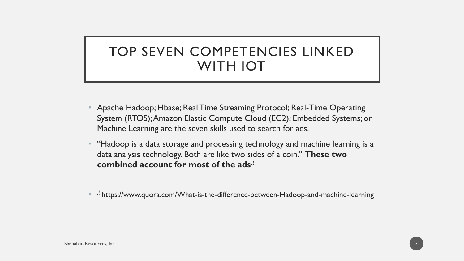## TOP SEVEN COMPETENCIES LINKED WITH IOT

- Apache Hadoop; Hbase; Real Time Streaming Protocol; Real-Time Operating System (RTOS); Amazon Elastic Compute Cloud (EC2); Embedded Systems; or Machine Learning are the seven skills used to search for ads.
- "Hadoop is a data storage and processing technology and machine learning is a data analysis technology. Both are like two sides of a coin." **These two combined account for most of the ads.!**
- .! https://www.quora.com/What-is-the-difference-between-Hadoop-and-machine-learning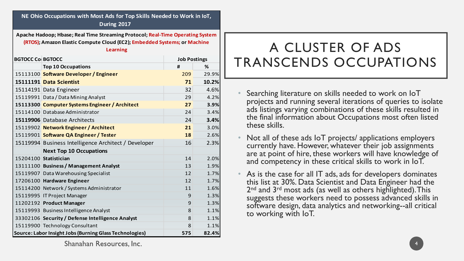**NE Ohio Occupations with Most Ads for Top Skills Needed to Work in IoT, During 2017**

**Apache Hadoop; Hbase; Real Time Streaming Protocol; Real-Time Operating System (RTOS); Amazon Elastic Compute Cloud (EC2); Embedded Systems; or Machine Learning**

| <b>BGTOCC Co BGTOCC</b> |                                                         | <b>Job Postings</b> |       |
|-------------------------|---------------------------------------------------------|---------------------|-------|
|                         | <b>Top 10 Occupations</b>                               | #                   | %     |
|                         | 15113100 Software Developer / Engineer                  | 209                 | 29.9% |
|                         | 15111191 Data Scientist                                 | 71                  | 10.2% |
|                         | 15114191 Data Engineer                                  | 32                  | 4.6%  |
|                         | 15119991 Data / Data Mining Analyst                     | 29                  | 4.2%  |
|                         | 15113300 Computer Systems Engineer / Architect          | 27                  | 3.9%  |
|                         | 15114100 Database Administrator                         | 24                  | 3.4%  |
|                         | 15119906 Database Architects                            | 24                  | 3.4%  |
|                         | 15119902 Network Engineer / Architect                   | 21                  | 3.0%  |
|                         | 15119901 Software QA Engineer / Tester                  | 18                  | 2.6%  |
|                         | 15119994 Business Intelligence Architect / Developer    | 16                  | 2.3%  |
|                         | <b>Next Top 10 Occupations</b>                          |                     |       |
|                         | 15204100 Statistician                                   | 14                  | 2.0%  |
|                         | 13111100 Business / Management Analyst                  | 13                  | 1.9%  |
|                         | 15119907 Data Warehousing Specialist                    | 12                  | 1.7%  |
|                         | 17206100 Hardware Engineer                              | 12                  | 1.7%  |
|                         | 15114200 Network / Systems Administrator                | 11                  | 1.6%  |
|                         | 15119995 IT Project Manager                             | 9                   | 1.3%  |
|                         | 11202192 Product Manager                                | 9                   | 1.3%  |
|                         | 15119993 Business Intelligence Analyst                  | 8                   | 1.1%  |
|                         | 33302106 Security / Defense Intelligence Analyst        | 8                   | 1.1%  |
|                         | 15119900 Technology Consultant                          | 8                   | 1.1%  |
|                         | Source: Labor Insight Jobs (Burning Glass Technologies) | 575                 | 82.4% |

## A CLUSTER OF ADS TRANSCENDS OCCUPATIONS

- Searching literature on skills needed to work on IoT projects and running several iterations of queries to isolate ads listings varying combinations of these skills resulted in the final information about Occupations most often listed these skills.
- Not all of these ads IoT projects/ applications employers currently have. However, whatever their job assignments are at point of hire, these workers will have knowledge of and competency in these critical skills to work in IoT.
- As is the case for all IT ads, ads for developers dominates this list at 30%. Data Scientist and Data Engineer had the 2<sup>nd</sup> and 3<sup>rd</sup> most ads (as well as others highlighted). This suggests these workers need to possess advanced skills in software design, data analytics and networking--all critical to working with IoT.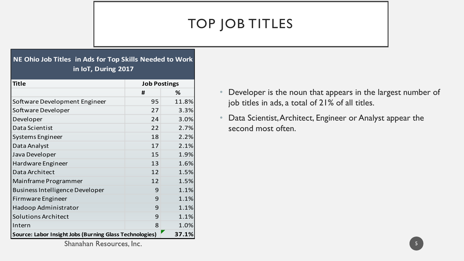# TOP JOB TITLES

### **NE Ohio Job Titles in Ads for Top Skills Needed to Work in IoT, During 2017**

| <b>Title</b><br><b>Job Postings</b>                              |    |       |
|------------------------------------------------------------------|----|-------|
|                                                                  | #  | %     |
| Software Development Engineer                                    | 95 | 11.8% |
| Software Developer                                               | 27 | 3.3%  |
| Developer                                                        | 24 | 3.0%  |
| Data Scientist                                                   | 22 | 2.7%  |
| Systems Engineer                                                 | 18 | 2.2%  |
| Data Analyst                                                     | 17 | 2.1%  |
| Java Developer                                                   | 15 | 1.9%  |
| Hardware Engineer                                                | 13 | 1.6%  |
| Data Architect                                                   | 12 | 1.5%  |
| Mainframe Programmer                                             | 12 | 1.5%  |
| <b>Business Intelligence Developer</b>                           | 9  | 1.1%  |
| Firmware Engineer                                                | 9  | 1.1%  |
| Hadoop Administrator                                             | 9  | 1.1%  |
| <b>Solutions Architect</b>                                       | 9  | 1.1%  |
| Intern                                                           | 8  | 1.0%  |
| Source: Labor Insight Jobs (Burning Glass Technologies)<br>37.1% |    |       |

- Developer is the noun that appears in the largest number of job titles in ads, a total of 21% of all titles.
- Data Scientist, Architect, Engineer or Analyst appear the second most often.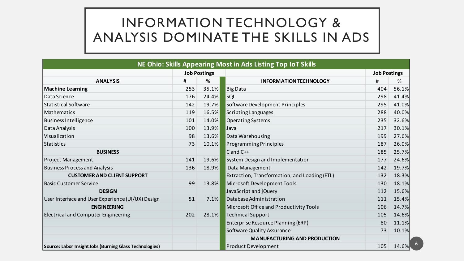## INFORMATION TECHNOLOGY & ANALYSIS DOMINATE THE SKILLS IN ADS

|                                                         |     |       | NE Ohio: Skills Appearing Most in Ads Listing Top IoT Skills |                     |       |
|---------------------------------------------------------|-----|-------|--------------------------------------------------------------|---------------------|-------|
| <b>Job Postings</b>                                     |     |       |                                                              | <b>Job Postings</b> |       |
| <b>ANALYSIS</b>                                         | #   | %     | <b>INFORMATION TECHNOLOGY</b>                                | #                   | %     |
| <b>Machine Learning</b>                                 | 253 | 35.1% | Big Data                                                     | 404                 | 56.1% |
| Data Science                                            | 176 | 24.4% | SQL                                                          | 298                 | 41.4% |
| <b>Statistical Software</b>                             | 142 | 19.7% | Software Development Principles                              | 295                 | 41.0% |
| <b>Mathematics</b>                                      | 119 | 16.5% | <b>Scripting Languages</b>                                   | 288                 | 40.0% |
| <b>Business Intelligence</b>                            | 101 | 14.0% | <b>Operating Systems</b>                                     | 235                 | 32.6% |
| Data Analysis                                           | 100 | 13.9% | Java                                                         | 217                 | 30.1% |
| Visualization                                           | 98  | 13.6% | Data Warehousing                                             | 199                 | 27.6% |
| <b>Statistics</b>                                       | 73  | 10.1% | <b>Programming Principles</b>                                | 187                 | 26.0% |
| <b>BUSINESS</b>                                         |     |       | $C$ and $C++$                                                | 185                 | 25.7% |
| <b>Project Management</b>                               | 141 | 19.6% | System Design and Implementation                             | 177                 | 24.6% |
| <b>Business Process and Analysis</b>                    | 136 | 18.9% | Data Management                                              | 142                 | 19.7% |
| <b>CUSTOMER AND CLIENT SUPPORT</b>                      |     |       | Extraction, Transformation, and Loading (ETL)                | 132                 | 18.3% |
| <b>Basic Customer Service</b>                           | 99  | 13.8% | Microsoft Development Tools                                  | 130                 | 18.1% |
| <b>DESIGN</b>                                           |     |       | JavaScript and jQuery                                        | 112                 | 15.6% |
| User Interface and User Experience (UI/UX) Design       | 51  | 7.1%  | Database Administration                                      | 111                 | 15.4% |
| <b>ENGINEERING</b>                                      |     |       | Microsoft Office and Productivity Tools                      | 106                 | 14.7% |
| <b>Electrical and Computer Engineering</b>              | 202 | 28.1% | <b>Technical Support</b>                                     | 105                 | 14.6% |
|                                                         |     |       | Enterprise Resource Planning (ERP)                           | 80                  | 11.1% |
|                                                         |     |       | Software Quality Assurance                                   | 73                  | 10.1% |
|                                                         |     |       | <b>MANUFACTURING AND PRODUCTION</b>                          |                     |       |
| Source: Labor Insight Jobs (Burning Glass Technologies) |     |       | <b>Product Development</b>                                   | 105                 | 14.6% |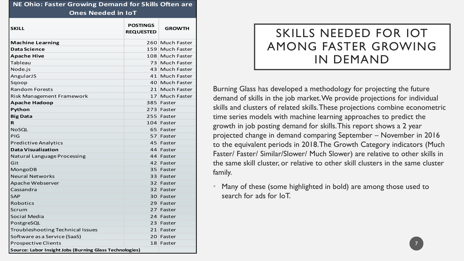| <b>NE Ohio: Faster Growing Demand for Skills Often are</b> |                                     |                    |  |  |
|------------------------------------------------------------|-------------------------------------|--------------------|--|--|
| <b>Ones Needed in IoT</b>                                  |                                     |                    |  |  |
| <b>SKILL</b>                                               | <b>POSTINGS</b><br><b>REQUESTED</b> | <b>GROWTH</b>      |  |  |
| <b>Machine Learning</b>                                    |                                     | 260 Much Faster    |  |  |
| Data Science                                               |                                     | 159 Much Faster    |  |  |
| <b>Apache Hive</b>                                         |                                     | 108 Much Faster    |  |  |
| Tableau                                                    |                                     | 73 Much Faster     |  |  |
| Node.js                                                    | 43 <sup>1</sup>                     | <b>Much Faster</b> |  |  |
| AngularJS                                                  |                                     | 41 Much Faster     |  |  |
| Sgoop                                                      |                                     | 40 Much Faster     |  |  |
| <b>Random Forests</b>                                      |                                     | 21 Much Faster     |  |  |
| Risk Management Framework                                  | 17 <sup>1</sup>                     | Much Faster        |  |  |
| <b>Apache Hadoop</b>                                       |                                     | 385 Faster         |  |  |
| Python                                                     |                                     | 273 Faster         |  |  |
| <b>Big Data</b>                                            |                                     | 255 Faster         |  |  |
| R                                                          |                                     | 104 Faster         |  |  |
| <b>NoSQL</b>                                               |                                     | 65 Faster          |  |  |
| PIG                                                        |                                     | 57 Faster          |  |  |
| <b>Predictive Analytics</b>                                |                                     | 45 Faster          |  |  |
| Data Visualization                                         |                                     | 44 Faster          |  |  |
| Natural Language Processing                                |                                     | 44 Faster          |  |  |
| Git                                                        |                                     | 42 Faster          |  |  |
| MongoDB                                                    |                                     | 35 Faster          |  |  |
| <b>Neural Networks</b>                                     |                                     | 33 Faster          |  |  |
| Apache Webserver                                           |                                     | 32 Faster          |  |  |
| Cassandra                                                  |                                     | 32 Faster          |  |  |
| <b>SAP</b>                                                 |                                     | 30 Faster          |  |  |
| <b>Robotics</b>                                            |                                     | 29 Faster          |  |  |
| Scrum                                                      | 27                                  | Faster             |  |  |
| Social Media                                               |                                     | 24 Faster          |  |  |
| PostgreSQL                                                 |                                     | 23 Faster          |  |  |
| <b>Troubleshooting Technical Issues</b>                    |                                     | 21 Faster          |  |  |
| Software as a Service (SaaS)                               |                                     | 20 Faster          |  |  |
| <b>Prospective Clients</b>                                 |                                     | 18 Faster          |  |  |
| Source: Labor Insight Jobs (Burning Glass Technologies)    |                                     |                    |  |  |

## SKILLS NEEDED FOR IOT AMONG FASTER GROWING IN DEMAND

7

Burning Glass has developed a methodology for projecting the future demand of skills in the job market. We provide projections for individual skills and clusters of related skills. These projections combine econometric time series models with machine learning approaches to predict the growth in job posting demand for skills. This report shows a 2 year projected change in demand comparing September – November in 2016 to the equivalent periods in 2018. The Growth Category indicators (Much Faster/ Faster/ Similar/Slower/ Much Slower) are relative to other skills in the same skill cluster, or relative to other skill clusters in the same cluster family.

• Many of these (some highlighted in bold) are among those used to search for ads for IoT.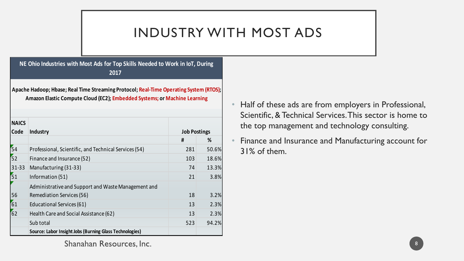## INDUSTRY WITH MOST ADS

### **NE Ohio Industries with Most Ads for Top Skills Needed to Work in IoT, During 2017**

**Apache Hadoop; Hbase; Real Time Streaming Protocol; Real-Time Operating System (RTOS); Amazon Elastic Compute Cloud (EC2); Embedded Systems; or Machine Learning**

| <b>NAICS</b>    |                                                         |                     |       |
|-----------------|---------------------------------------------------------|---------------------|-------|
| Code            | Industry                                                | <b>Job Postings</b> |       |
|                 |                                                         | #                   | %     |
| $\overline{54}$ | Professional, Scientific, and Technical Services (54)   | 281                 | 50.6% |
| 52              | Finance and Insurance (52)                              | 103                 | 18.6% |
| $31 - 33$       | Manufacturing (31-33)                                   | 74                  | 13.3% |
| 51              | Information (51)                                        | 21                  | 3.8%  |
|                 | Administrative and Support and Waste Management and     |                     |       |
| 56              | <b>Remediation Services (56)</b>                        | 18                  | 3.2%  |
| 61              | Educational Services (61)                               | 13                  | 2.3%  |
| 62              | Health Care and Social Assistance (62)                  | 13                  | 2.3%  |
|                 | Sub total                                               | 523                 | 94.2% |
|                 | Source: Labor Insight Jobs (Burning Glass Technologies) |                     |       |

- Half of these ads are from employers in Professional, Scientific, & Technical Services. This sector is home to the top management and technology consulting.
- Finance and Insurance and Manufacturing account for 31% of them.

8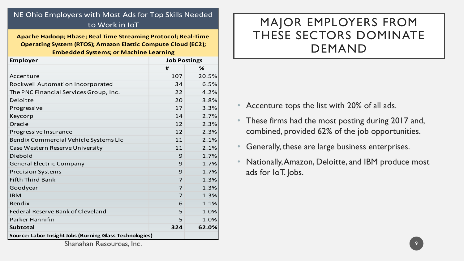### NE Ohio Employers with Most Ads for Top Skills Needed to Work in IoT

**Apache Hadoop; Hbase; Real Time Streaming Protocol; Real-Time Operating System (RTOS); Amazon Elastic Compute Cloud (EC2); Embedded Systems; or Machine Learning**

| <b>Employer</b>                                         | <b>Job Postings</b> |       |
|---------------------------------------------------------|---------------------|-------|
|                                                         | #                   | %     |
| Accenture                                               | 107                 | 20.5% |
| Rockwell Automation Incorporated                        | 34                  | 6.5%  |
| The PNC Financial Services Group, Inc.                  | 22                  | 4.2%  |
| Deloitte                                                | 20                  | 3.8%  |
| Progressive                                             | 17                  | 3.3%  |
| Keycorp                                                 | 14                  | 2.7%  |
| Oracle                                                  | 12                  | 2.3%  |
| Progressive Insurance                                   | 12                  | 2.3%  |
| Bendix Commercial Vehicle Systems Llc                   | 11                  | 2.1%  |
| Case Western Reserve University                         | 11                  | 2.1%  |
| Diebold                                                 | 9                   | 1.7%  |
| <b>General Electric Company</b>                         | 9                   | 1.7%  |
| <b>Precision Systems</b>                                | 9                   | 1.7%  |
| <b>Fifth Third Bank</b>                                 | 7                   | 1.3%  |
| Goodyear                                                | 7                   | 1.3%  |
| <b>IBM</b>                                              | 7                   | 1.3%  |
| <b>Bendix</b>                                           | 6                   | 1.1%  |
| <b>Federal Reserve Bank of Cleveland</b>                | 5                   | 1.0%  |
| Parker Hannifin                                         | 5                   | 1.0%  |
| <b>Subtotal</b>                                         | 324                 | 62.0% |
| Source: Labor Insight Jobs (Burning Glass Technologies) |                     |       |

## MAJOR EMPLOYERS FROM THESE SECTORS DOMINATE DEMAND

- Accenture tops the list with 20% of all ads.
- These firms had the most posting during 2017 and, combined, provided 62% of the job opportunities.
- Generally, these are large business enterprises.
- Nationally, Amazon, Deloitte, and IBM produce most ads for IoT. Jobs.

9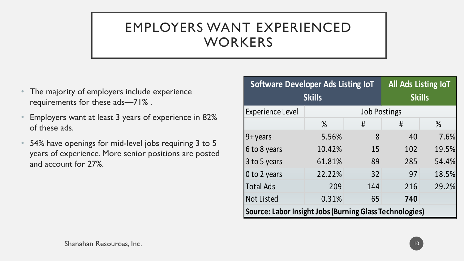# EMPLOYERS WANT EXPERIENCED **WORKERS**

- The majority of employers include experience requirements for these ads—71% .
- Employers want at least 3 years of experience in 82% of these ads.
- 54% have openings for mid-level jobs requiring 3 to 5 years of experience. More senior positions are posted and account for 27%.

| <b>Software Developer Ads Listing IoT</b>               |                    |                     |               | All Ads Listing IoT |  |
|---------------------------------------------------------|--------------------|---------------------|---------------|---------------------|--|
| <b>Skills</b>                                           |                    |                     | <b>Skills</b> |                     |  |
| <b>Experience Level</b>                                 |                    | <b>Job Postings</b> |               |                     |  |
|                                                         | $\%$               | #                   | #             | $\%$                |  |
| $9 + \gamma$ ears                                       | 5.56%              | 8                   | 40            | 7.6%                |  |
| 6 to 8 years                                            | 10.42%             | 15                  | 102           | 19.5%               |  |
| 3 to 5 years                                            | 61.81%             | 89                  | 285           | 54.4%               |  |
| 0 to 2 years                                            | 22.22%             | 32                  | 97            | 18.5%               |  |
| <b>Total Ads</b>                                        | 209                | 144                 | 216           | 29.2%               |  |
| <b>Not Listed</b>                                       | 0.31%<br>740<br>65 |                     |               |                     |  |
| Source: Labor Insight Jobs (Burning Glass Technologies) |                    |                     |               |                     |  |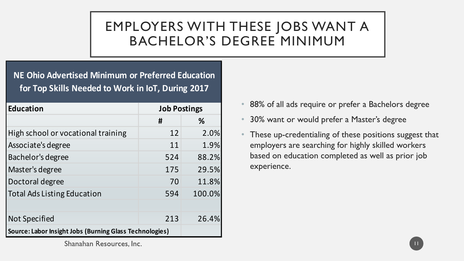# EMPLOYERS WITH THESE JOBS WANT A BACHELOR'S DEGREE MINIMUM

### **NE Ohio Advertised Minimum or Preferred Education for Top Skills Needed to Work in IoT, During 2017**

| <b>Education</b>                                        | <b>Job Postings</b> |        |
|---------------------------------------------------------|---------------------|--------|
|                                                         | #                   | %      |
| High school or vocational training                      | 12                  | 2.0%   |
| Associate's degree                                      | 11                  | 1.9%   |
| Bachelor's degree                                       | 524                 | 88.2%  |
| Master's degree                                         | 175                 | 29.5%  |
| Doctoral degree                                         | 70                  | 11.8%  |
| <b>Total Ads Listing Education</b>                      | 594                 | 100.0% |
|                                                         |                     |        |
| <b>Not Specified</b>                                    | 213                 | 26.4%  |
| Source: Labor Insight Jobs (Burning Glass Technologies) |                     |        |

- 88% of all ads require or prefer a Bachelors degree
- 30% want or would prefer a Master's degree
- These up-credentialing of these positions suggest that employers are searching for highly skilled workers based on education completed as well as prior job experience.

11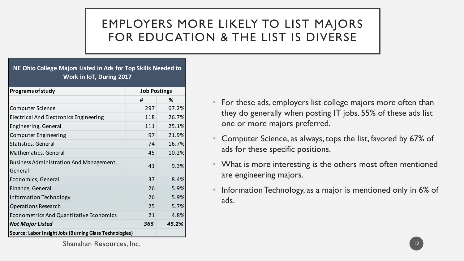## EMPLOYERS MORE LIKELY TO LIST MAJORS FOR EDUCATION & THE LIST IS DIVERSE

#### **NE Ohio College Majors Listed in Ads for Top Skills Needed to Work in IoT, During 2017**

| <b>Programs of study</b>                                | <b>Job Postings</b> |       |
|---------------------------------------------------------|---------------------|-------|
|                                                         | #                   | ℅     |
| <b>Computer Science</b>                                 | 297                 | 67.2% |
| <b>Electrical And Electronics Engineering</b>           | 118                 | 26.7% |
| Engineering, General                                    | 111                 | 25.1% |
| <b>Computer Engineering</b>                             | 97                  | 21.9% |
| Statistics, General                                     | 74                  | 16.7% |
| Mathematics, General                                    | 45                  | 10.2% |
| Business Administration And Management,                 | 41                  | 9.3%  |
| General                                                 |                     |       |
| Economics, General                                      | 37                  | 8.4%  |
| Finance, General                                        | 26                  | 5.9%  |
| Information Technology                                  | 26                  | 5.9%  |
| <b>Operations Research</b>                              | 25                  | 5.7%  |
| <b>Econometrics And Quantitative Economics</b>          | 21                  | 4.8%  |
| <b>Not Major Listed</b>                                 | 365                 | 45.2% |
| Source: Labor Insight Jobs (Burning Glass Technologies) |                     |       |

- For these ads, employers list college majors more often than they do generally when posting IT jobs. 55% of these ads list one or more majors preferred.
- Computer Science, as always, tops the list, favored by 67% of ads for these specific positions.
- What is more interesting is the others most often mentioned are engineering majors.
- Information Technology, as a major is mentioned only in 6% of ads.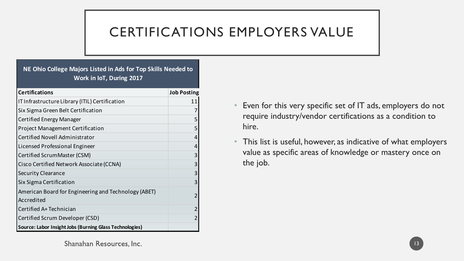# CERTIFICATIONS EMPLOYERS VALUE

### **NE Ohio College Majors Listed in Ads for Top Skills Needed to Work in IoT, During 2017**

| <b>Certifications</b>                                              | <b>Job Posting</b> |
|--------------------------------------------------------------------|--------------------|
| IT Infrastructure Library (ITIL) Certification                     | 11                 |
| Six Sigma Green Belt Certification                                 | 7                  |
| <b>Certified Energy Manager</b>                                    | 5                  |
| <b>Project Management Certification</b>                            | 5                  |
| Certified Novell Administrator                                     | 4                  |
| Licensed Professional Engineer                                     | 4                  |
| Certified ScrumMaster (CSM)                                        | 3                  |
| Cisco Certified Network Associate (CCNA)                           | 3                  |
| <b>Security Clearance</b>                                          | 3                  |
| Six Sigma Certification                                            | 3                  |
| American Board for Engineering and Technology (ABET)<br>Accredited | $\overline{2}$     |
| Certified A+ Technician                                            | $\overline{2}$     |
| Certified Scrum Developer (CSD)                                    | 2                  |
| Source: Labor Insight Jobs (Burning Glass Technologies)            |                    |

- Even for this very specific set of IT ads, employers do not require industry/vendor certifications as a condition to hire.
- This list is useful, however, as indicative of what employers value as specific areas of knowledge or mastery once on the job.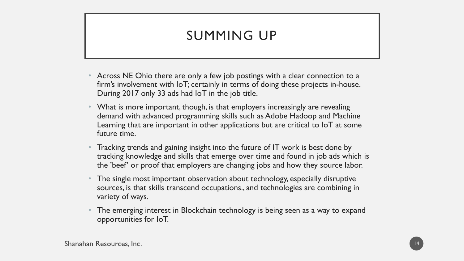## SUMMING UP

- Across NE Ohio there are only a few job postings with a clear connection to a firm's involvement with IoT; certainly in terms of doing these projects in-house. During 2017 only 33 ads had IoT in the job title.
- What is more important, though, is that employers increasingly are revealing demand with advanced programming skills such as Adobe Hadoop and Machine Learning that are important in other applications but are critical to IoT at some future time.
- Tracking trends and gaining insight into the future of IT work is best done by tracking knowledge and skills that emerge over time and found in job ads which is the 'beef' or proof that employers are changing jobs and how they source labor.
- The single most important observation about technology, especially disruptive sources, is that skills transcend occupations., and technologies are combining in variety of ways.
- The emerging interest in Blockchain technology is being seen as a way to expand opportunities for IoT.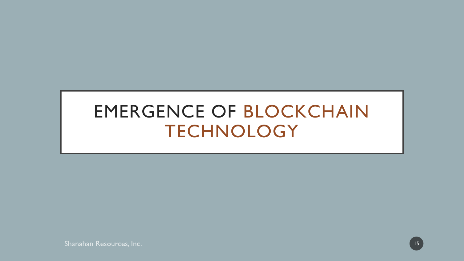# EMERGENCE OF BLOCKCHAIN TECHNOLOGY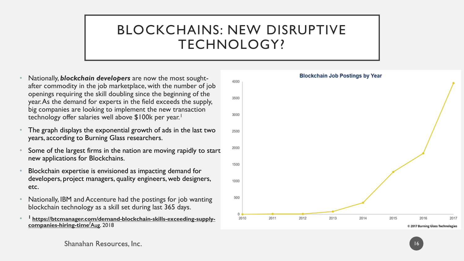## BLOCKCHAINS: NEW DISRUPTIVE TECHNOLOGY?

- Nationally, *blockchain developers* are now the most soughtafter commodity in the job marketplace, with the number of job openings requiring the skill doubling since the beginning of the year. As the demand for experts in the field exceeds the supply, big companies are looking to implement the new transaction technology offer salaries well above \$100k per year.<sup>1</sup>
- The graph displays the exponential growth of ads in the last two years, according to Burning Glass researchers.
- Some of the largest firms in the nation are moving rapidly to start new applications for Blockchains.
- Blockchain expertise is envisioned as impacting demand for developers, project managers, quality engineers, web designers, etc.
- Nationally, IBM and Accenture had the postings for job wanting blockchain technology as a skill set during last 365 days.
- **<sup>1</sup>[https://btcmanager.com/demand-blockchain-skills-exceeding-supply](https://btcmanager.com/demand-blockchain-skills-exceeding-supply-companies-hiring-time/Aug)companies-hiring-time/**Aug. 2018

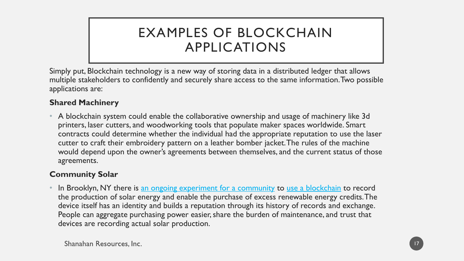## EXAMPLES OF BLOCKCHAIN APPLICATIONS

Simply put, Blockchain technology is a new way of storing data in a distributed ledger that allows multiple stakeholders to confidently and securely share access to the same information. Two possible applications are:

### **Shared Machinery**

• A blockchain system could enable the collaborative ownership and usage of machinery like 3d printers, laser cutters, and woodworking tools that populate maker spaces worldwide. Smart contracts could determine whether the individual had the appropriate reputation to use the laser cutter to craft their embroidery pattern on a leather bomber jacket. The rules of the machine would depend upon the owner's agreements between themselves, and the current status of those agreements.

### **Community Solar**

In Brooklyn, NY there is [an ongoing experiment for a community](http://brooklynmicrogrid.com/) to [use a blockchain](http://transactivegrid.net/) to record the production of solar energy and enable the purchase of excess renewable energy credits. The device itself has an identity and builds a reputation through its history of records and exchange. People can aggregate purchasing power easier, share the burden of maintenance, and trust that devices are recording actual solar production.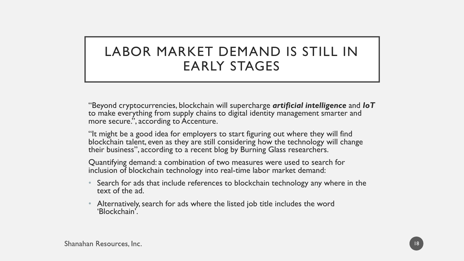## LABOR MARKET DEMAND IS STILL IN EARLY STAGES

"Beyond cryptocurrencies, blockchain will supercharge *artificial intelligence* and *IoT* to make everything from supply chains to digital identity management smarter and more secure.", according to Accenture.

"It might be a good idea for employers to start figuring out where they will find blockchain talent, even as they are still considering how the technology will change their business", according to a recent blog by Burning Glass researchers.

Quantifying demand: a combination of two measures were used to search for inclusion of blockchain technology into real-time labor market demand:

- Search for ads that include references to blockchain technology any where in the text of the ad.
- Alternatively, search for ads where the listed job title includes the word 'Blockchain'.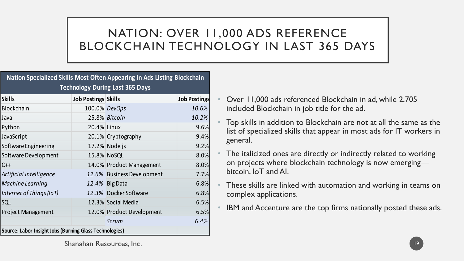## NATION: OVER 11,000 ADS REFERENCE BLOCKCHAIN TECHNOLOGY IN LAST 365 DAYS

### **Nation Specialized Skills Most Often Appearing in Ads Listing Blockchain Technology During Last 365 Days**

| <b>Skills</b>                                           | <b>Job Postings Skills</b> |                            | <b>Job Postings</b> |  |
|---------------------------------------------------------|----------------------------|----------------------------|---------------------|--|
| Blockchain                                              | 100.0% DevOps              |                            | 10.6%               |  |
| Java                                                    |                            | 25.8% Bitcoin              | 10.2%               |  |
| Python                                                  | 20.4% Linux                |                            | 9.6%                |  |
| JavaScript                                              |                            | 20.1% Cryptography         | 9.4%                |  |
| Software Engineering                                    |                            | 17.2% Node.js              | 9.2%                |  |
| Software Development                                    |                            | 15.8% NoSQL                | 8.0%                |  |
| $C++$                                                   |                            | 14.0% Product Management   | 8.0%                |  |
| Artificial Intelligence                                 |                            | 12.6% Business Development | 7.7%                |  |
| Machine Learning                                        |                            | 12.4% Big Data             | 6.8%                |  |
| Internet of Things (IoT)                                |                            | 12.3% Docker Software      | 6.8%                |  |
| SQL                                                     |                            | 12.3% Social Media         | 6.5%                |  |
| <b>Project Management</b>                               |                            | 12.0% Product Development  | 6.5%                |  |
|                                                         |                            | Scrum                      | 6.4%                |  |
| Source: Labor Insight Jobs (Burning Glass Technologies) |                            |                            |                     |  |

- Over 11,000 ads referenced Blockchain in ad, while 2,705 included Blockchain in job title for the ad.
- Top skills in addition to Blockchain are not at all the same as the list of specialized skills that appear in most ads for IT workers in general.
- The italicized ones are directly or indirectly related to working on projects where blockchain technology is now emerging bitcoin, IoT and AI.
- These skills are linked with automation and working in teams on complex applications.
- IBM and Accenture are the top firms nationally posted these ads.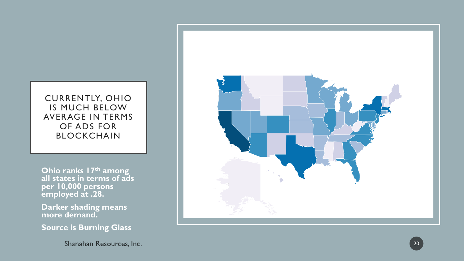### CURRENTLY, OHIO IS MUCH BELOW AVERAGE IN TERMS OF ADS FOR BLOCKCHAIN

**Ohio ranks 17th among all states in terms of ads per 10,000 persons employed at .28.**

**Darker shading means more demand.**

**Source is Burning Glass**

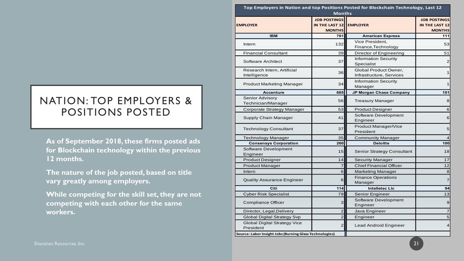### NATION: TOP EMPLOYERS & POSITIONS POSTED

|                                                 | Top Employers in Nation and top Positions Posted for Blockchain Technology, Last 12 |                                                        |                                                   |                                                        |
|-------------------------------------------------|-------------------------------------------------------------------------------------|--------------------------------------------------------|---------------------------------------------------|--------------------------------------------------------|
|                                                 |                                                                                     | <b>Months</b>                                          |                                                   |                                                        |
|                                                 | <b>EMPLOYER</b>                                                                     | <b>JOB POSTINGS</b><br>IN THE LAST 12<br><b>MONTHS</b> | <b>EMPLOYER</b>                                   | <b>JOB POSTINGS</b><br>IN THE LAST 12<br><b>MONTHS</b> |
|                                                 | <b>IBM</b>                                                                          | 761                                                    | <b>American Express</b>                           | 111                                                    |
|                                                 | Intern                                                                              | 132                                                    | Vice President,<br>Finance, Technology            | 53                                                     |
|                                                 | <b>Financial Consultant</b>                                                         | 39                                                     | Director of Engineering                           | 51                                                     |
|                                                 | <b>Software Architect</b>                                                           | 37                                                     | <b>Information Security</b><br>Specialist         | 2                                                      |
|                                                 | Research Intern, Artificial<br>Intelligence                                         | 36                                                     | Global Product Owner,<br>Infrastructure, Services | 1                                                      |
|                                                 | <b>Product Marketing Manager</b>                                                    | 34                                                     | <b>Information Security</b><br>Manager            | 11                                                     |
|                                                 | <b>Accenture</b>                                                                    | 665                                                    | JP Morgan Chase Company                           | 101                                                    |
| <b>IATION: TOP EMPLOYERS &amp;</b>              | Senior Advisory<br>Technician/Manager                                               | 56                                                     | <b>Treasury Manager</b>                           | 8 <sup>1</sup>                                         |
| <b>POSITIONS POSTED</b>                         | Corporate Strategy Manager                                                          | 53                                                     | <b>Product Designer</b>                           | 6                                                      |
|                                                 | Supply Chain Manager                                                                | 41                                                     | Software Development<br>Engineer                  | $6 \mid$                                               |
|                                                 | <b>Technology Consultant</b>                                                        | 37                                                     | Product Manager/Vice<br>President                 | 5 <sub>l</sub>                                         |
|                                                 | <b>Technology Manager</b>                                                           | 35                                                     | <b>Community Manager</b>                          | $\overline{4}$                                         |
| As of September 2018, these firms posted ads    | <b>Consensys Corporation</b>                                                        | 260                                                    | <b>Deloitte</b>                                   | 100                                                    |
| for Blockchain technology within the previous   | Software Development<br>Engineer                                                    | 15                                                     | Senior Strategy Consultant                        | 18                                                     |
| 12 months.                                      | <b>Product Designer</b>                                                             | 14                                                     | <b>Security Manager</b>                           | 17                                                     |
|                                                 | <b>Product Manager</b>                                                              | $\overline{\mathbf{7}}$                                | <b>Chief Financial Officer</b>                    | $12$                                                   |
| The nature of the job posted, based on title    | Intern                                                                              | $\mathbf 6$                                            | <b>Marketing Manager</b>                          | $\bf{8}$                                               |
| vary greatly among employers.                   | <b>Quality Assurance Engineer</b>                                                   | 6                                                      | <b>Finance Operations</b><br>Manager              | 7 <sup>1</sup>                                         |
|                                                 | Citi                                                                                | 114                                                    | <b>Intelletec LIc</b>                             | 94                                                     |
| While competing for the skill set, they are not | <b>Cyber Risk Specialist</b>                                                        | 79                                                     | Senior Engineer                                   | 13                                                     |
| competing with each other for the same          | <b>Compliance Officer</b>                                                           | 3                                                      | Software Development<br>Engineer                  | 9                                                      |
| workers.                                        | Director, Legal, Delivery                                                           | $\mathbf{2}$                                           | Java Engineer                                     | $\overline{7}$                                         |
|                                                 | <b>Global Digital Strategy Svp</b>                                                  | $\overline{2}$                                         | Engineer                                          | $\overline{5}$                                         |
|                                                 | <b>Global Digital Strategy Vice</b><br>President                                    | $\mathbf{2}$                                           | Lead Android Engineer                             | 4 <sub>l</sub>                                         |
|                                                 | Source: Labor Insight Jobs (Burning Glass Technologies)                             |                                                        |                                                   |                                                        |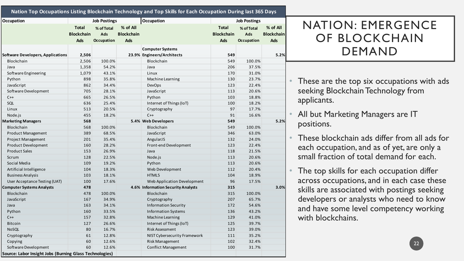| <b>Occupation</b>                                       |                                                 | <b>Job Postings</b>             |                                      | Occupation                                            |                                                 | <b>Job Postings</b>                    |                                      |
|---------------------------------------------------------|-------------------------------------------------|---------------------------------|--------------------------------------|-------------------------------------------------------|-------------------------------------------------|----------------------------------------|--------------------------------------|
|                                                         | <b>Total</b><br><b>Blockchain</b><br><b>Ads</b> | % of Total<br>Ads<br>Occupation | % of All<br><b>Blockchain</b><br>Ads |                                                       | <b>Total</b><br><b>Blockchain</b><br><b>Ads</b> | % of Total<br>Ads<br><b>Occupation</b> | % of All<br><b>Blockchain</b><br>Ads |
| <b>Software Developers, Applications</b>                | 2,506                                           |                                 |                                      | <b>Computer Systems</b><br>23.9% Engineers/Architects | 549                                             |                                        | 5.2%                                 |
| Blockchain                                              | 2,506                                           | 100.0%                          |                                      | Blockchain                                            | 549                                             | 100.0%                                 |                                      |
| Java                                                    | 1,358                                           | 54.2%                           |                                      | Java                                                  | 206                                             | 37.5%                                  |                                      |
| Software Engineering                                    | 1,079                                           | 43.1%                           |                                      | Linux                                                 | 170                                             | 31.0%                                  |                                      |
| Python                                                  | 898                                             | 35.8%                           |                                      | Machine Learning                                      | 130                                             | 23.7%                                  |                                      |
| JavaScript                                              | 862                                             | 34.4%                           |                                      | <b>DevOps</b>                                         | 123                                             | 22.4%                                  |                                      |
| Software Development                                    | 705                                             | 28.1%                           |                                      | JavaScript                                            | 113                                             | 20.6%                                  |                                      |
| $C++$                                                   | 665                                             | 26.5%                           |                                      | Python                                                | 103                                             | 18.8%                                  |                                      |
| SQL                                                     | 636                                             | 25.4%                           |                                      | Internet of Things (IoT)                              | 100                                             | 18.2%                                  |                                      |
| Linux                                                   | 513                                             | 20.5%                           |                                      | Cryptography                                          | 97                                              | 17.7%                                  |                                      |
| Node.js                                                 | 455                                             | 18.2%                           |                                      | $C++$                                                 | 91                                              | 16.6%                                  |                                      |
| <b>Marketing Managers</b>                               | 568                                             |                                 |                                      | 5.4% Web Developers                                   | 549                                             |                                        | 5.2%                                 |
| Blockchain                                              | 568                                             | 100.0%                          |                                      | Blockchain                                            | 549                                             | 100.0%                                 |                                      |
| Product Management                                      | 389                                             | 68.5%                           |                                      | JavaScript                                            | 346                                             | 63.0%                                  |                                      |
| Project Management                                      | 201                                             | 35.4%                           |                                      | AngularJS                                             | 132                                             | 24.0%                                  |                                      |
| <b>Product Development</b>                              | 160                                             | 28.2%                           |                                      | Front-end Development                                 | 123                                             | 22.4%                                  |                                      |
| <b>Product Sales</b>                                    | 153                                             | 26.9%                           |                                      | Java                                                  | 118                                             | 21.5%                                  |                                      |
| Scrum                                                   | 128                                             | 22.5%                           |                                      | Node.js                                               | 113                                             | 20.6%                                  |                                      |
| Social Media                                            | 109                                             | 19.2%                           |                                      | Python                                                | 113                                             | 20.6%                                  |                                      |
| Artificial Intelligence                                 | 104                                             | 18.3%                           |                                      | Web Development                                       | 112                                             | 20.4%                                  |                                      |
| <b>Business Analysis</b>                                | 103                                             | 18.1%                           |                                      | HTML5                                                 | 104                                             | 18.9%                                  |                                      |
| User Acceptance Testing (UAT)                           | 100                                             | 17.6%                           |                                      | Web Application Development                           | 96                                              | 17.5%                                  |                                      |
| <b>Computer Systems Analysts</b>                        | 478                                             |                                 |                                      | 4.6% Information Security Analysts                    | 315                                             |                                        | 3.0%                                 |
| <b>Blockchain</b>                                       | 478                                             | 100.0%                          |                                      | Blockchain                                            | 315                                             | 100.0%                                 |                                      |
| JavaScript                                              | 167                                             | 34.9%                           |                                      | Cryptography                                          | 207                                             | 65.7%                                  |                                      |
| Java                                                    | 163                                             | 34.1%                           |                                      | <b>Information Security</b>                           | 172                                             | 54.6%                                  |                                      |
| Python                                                  | 160                                             | 33.5%                           |                                      | <b>Information Systems</b>                            | 136                                             | 43.2%                                  |                                      |
| $C++$                                                   | 157                                             | 32.8%                           |                                      | Machine Learning                                      | 129                                             | 41.0%                                  |                                      |
| Bitcoin                                                 | 127                                             | 26.6%                           |                                      | Internet of Things (IoT)                              | 125                                             | 39.7%                                  |                                      |
| <b>NoSOL</b>                                            | 80                                              | 16.7%                           |                                      | <b>Risk Assessment</b>                                | 123                                             | 39.0%                                  |                                      |
| Cryptography                                            | 61                                              | 12.8%                           |                                      | NIST Cybersecurity Framework                          | 111                                             | 35.2%                                  |                                      |
| Copying                                                 | 60                                              | 12.6%                           |                                      | Risk Management                                       | 102                                             | 32.4%                                  |                                      |
| Software Development                                    | 60                                              | 12.6%                           |                                      | <b>Conflict Management</b>                            | 100                                             | 31.7%                                  |                                      |
| Source: Labor Insight Jobs (Burning Glass Technologies) |                                                 |                                 |                                      |                                                       |                                                 |                                        |                                      |

## NATION: EMERGENCE OF BLOCKCHAIN DEMAND

- These are the top six occupations with ads seeking Blockchain Technology from applicants.
- All but Marketing Managers are IT positions.
- These blockchain ads differ from all ads for each occupation, and as of yet, are only a small fraction of total demand for each.
- The top skills for each occupation differ across occupations, and in each case these skills are associated with postings seeking developers or analysts who need to know and have some level competency working with blockchains.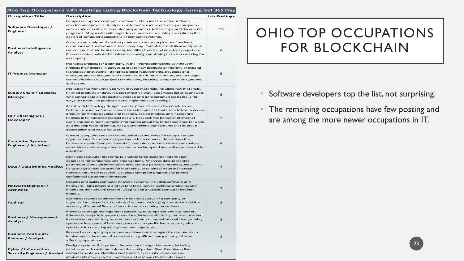|  | <b>Dhio Top Occupations with Postings Listing Blockchain Technology during last 365 Day</b> |
|--|---------------------------------------------------------------------------------------------|
|  |                                                                                             |

| Occupation Title                                       | <b>Description</b>                                                                                                                                                                                                                                                                                                                                                                                                                                                                                                  | <b>Job Postings</b> |
|--------------------------------------------------------|---------------------------------------------------------------------------------------------------------------------------------------------------------------------------------------------------------------------------------------------------------------------------------------------------------------------------------------------------------------------------------------------------------------------------------------------------------------------------------------------------------------------|---------------------|
| Software Developer /<br>Engineer                       | Designs or improves computer software. Oversees the entire software<br>development process. Analyzes customer or user needs, designs programs,<br>writes code or instructs computer programmers, tests design, and documents<br>programs. May assist with upgrades or maintenance. May specialize in the<br>design of computer applications or computer systems.                                                                                                                                                    | 23                  |
| <b>Business Intelligence</b><br>Analyst                | Collects and analyzes data that provides an accurate picture of business<br>operations and performance for a company. Completes statistical analysis of<br>current and historic business data, identifies trends and develops projections.<br>Presents data analysis that informs planning and strategic decision making for<br>a company.                                                                                                                                                                          | 6                   |
| <b>IT Project Manager</b>                              | Manages projects for a company in the information technology industry.<br>Projects may include initiatives to create new products or improve or expand<br>technology or systems. Identifies project requirements, develops and<br>manages project budgets and schedules, leads project teams, and manages<br>communications with project stakeholders, including company management<br>and clients.                                                                                                                 | 5                   |
| <b>Supply Chain / Logistics</b><br>Manager             | Manages the work involved with moving materials, including raw materials,<br>finished products or data, in a cost effective way. Supervises logistics analysts<br>who gather data on production, storage and transportation costs; looks for<br>ways to streamline production and implement cost savings.                                                                                                                                                                                                           | 5                   |
| UI / UX Designer /<br>Developer                        | Assist with technology design to make products easier for people to use.<br>Determine user preferences and assess the process that users follow to access<br>product functions; develop and test new design models, and incorporate<br>findings in to improved product design. Research the behavior of internet<br>users and consumers, compile information about the target audience for a site,<br>and develop website layout, design and technology features that improve<br>accessibility and value for users. | 5                   |
| <b>Computer Systems</b><br><b>Engineer / Architect</b> | Creates computer and data communication networks for companies and<br>organizations. Plans and designs layout for a network, determines the<br>hardware needed and placement of computers, servers, cables and routers;<br>determines data storage and system capacity, speed and software needed for<br>a system.                                                                                                                                                                                                  | 4                   |
| Data / Data Mining Analyst                             | Develops computer programs to analyze large customer information<br>databases for companies and organizations. Analyzes data to identify<br>patterns and provide information relevant to a particular business, industry or<br>field; analysis may be used for marketing, or to detect fraud in financial<br>transactions, or for research. Develops computer programs to protect<br>confidential customer information.                                                                                             | $\overline{a}$      |
| Network Engineer /<br><b>Architect</b>                 | Designs and builds computer network systems, including software and<br>hardware. Runs program and system tests, solves technical problems and<br>maintains the network system. Designs and analyzes computer network<br>models.                                                                                                                                                                                                                                                                                     | 4                   |
| <b>Auditor</b>                                         | Examines records to determine the financial status of a company or<br>organization. Inspects accounts and account books, prepares reports on the<br>accuracy of internal financial records and accounting procedures.                                                                                                                                                                                                                                                                                               | 3                   |
| <b>Business / Management</b><br>Analyst                | Provides strategic management consulting to companies and businesses.<br>Advises on ways to improve operations, increase efficiency, reduce costs and<br>increase revenues; may recommend systems or organizational change. May<br>specialize in an area of business practice or a specific industry; may also<br>specialize in consulting with government agencies.                                                                                                                                                | 3                   |
| <b>Business Continuity</b><br>Planner / Analyst        | Researches company operations and develops strategies for companies to<br>implement in the event of a disaster or significant unexpected problems<br>affecting operations.                                                                                                                                                                                                                                                                                                                                          | 3                   |
| <b>Cyber / Information</b>                             | Designs systems that protect the security of large databases, including<br>databases with customer information and patient files. Examines client<br>Security Engineer / Analyst computer systems, identifies weak points in security, develops and<br>implements new systems, monitors and responds to security issues.                                                                                                                                                                                            | 3                   |

## OHIO TOP OCCUPATIONS FOR BLOCKCHAIN

- Software developers top the list, not surprising.
- The remaining occupations have few posting and are among the more newer occupations in IT.

23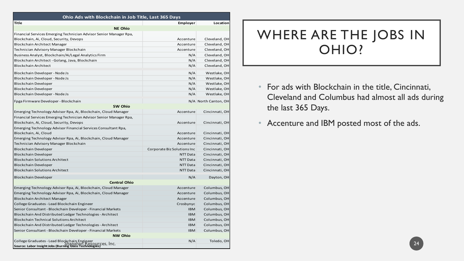| Ohio Ads with Blockchain in Job Title, Last 365 Days                                                         |                             |                      |
|--------------------------------------------------------------------------------------------------------------|-----------------------------|----------------------|
| Title                                                                                                        | Employer                    | Location             |
| <b>NE Ohio</b>                                                                                               |                             |                      |
| Financial Services Emerging Technician Advisor Senior Manager Rpa,                                           |                             |                      |
| Blockchain, Ai, Cloud, Security, Devops                                                                      | Accenture                   | Cleveland, OH        |
| Blockchain Architect Manager                                                                                 | Accenture                   | Cleveland, OH        |
| Technician Advisory Manager Blockchain                                                                       | Accenture                   | Cleveland, OH        |
| Business Analyst, Blockchain/Ai/Legal Analytics Firm                                                         | N/A                         | Cleveland, OH        |
| Blockchain Architect - Golang, Java, Blockchain                                                              | N/A                         | Cleveland, OH        |
| <b>Blockchain Architect</b>                                                                                  | N/A                         | Cleveland, OH        |
| Blockchain Developer - Node Js                                                                               | N/A                         | Westlake, OH         |
| Blockchain Developer - Node Js                                                                               | N/A                         | Westlake, OH         |
| Blockchain Developer                                                                                         | N/A                         | Westlake, OH         |
| Blockchain Developer                                                                                         | N/A                         | Westlake, OH         |
| Blockchain Developer - Node Js                                                                               | N/A                         | Westlake, OH         |
| Fpga Firmware Developer - Blockchain                                                                         |                             | N/A North Canton, OH |
| <b>SW Ohio</b>                                                                                               |                             |                      |
| Emerging Technology Advisor Rpa, Ai, Blockchain, Cloud Manager                                               | Accenture                   | Cincinnati, OH       |
| Financial Services Emerging Technician Advisor Senior Manager Rpa,                                           |                             |                      |
| Blockchain, Ai, Cloud, Security, Devops                                                                      | Accenture                   | Cincinnati, OH       |
| Emerging Technology Advisor Financial Services Consultant Rpa,                                               |                             |                      |
| Blockchain, Ai, Cloud                                                                                        | Accenture                   | Cincinnati, OH       |
| Emerging Technology Advisor Rpa, Ai, Blockchain, Cloud Manager                                               | Accenture                   | Cincinnati, OH       |
| Technician Advisory Manager Blockchain                                                                       | Accenture                   | Cincinnati, OH       |
| <b>Blockchain Developer</b>                                                                                  | Corporate Biz Solutions Inc | Cincinnati, OH       |
| <b>Blockchain Developer</b>                                                                                  | NTT Data                    | Cincinnati, OH       |
| <b>Blockchain Solutions Architect</b>                                                                        | NTT Data                    | Cincinnati, OH       |
| <b>Blockchain Developer</b>                                                                                  | NTT Data                    | Cincinnati, OH       |
| <b>Blockchain Solutions Architect</b>                                                                        | NTT Data                    | Cincinnati, OH       |
| <b>Blockchain Developer</b>                                                                                  | N/A                         | Dayton, OH           |
| <b>Central Ohio</b>                                                                                          |                             |                      |
| Emerging Technology Advisor Rpa, Ai, Blockchain, Cloud Manager                                               | Accenture                   | Columbus, OH         |
| Emerging Technology Advisor Rpa, Ai, Blockchain, Cloud Manager                                               | Accenture                   | Columbus, OH         |
| Blockchain Architect Manager                                                                                 | Accenture                   | Columbus, OH         |
| College Graduates - Lead Blockchain Engineer                                                                 | Crosbynyc                   | Columbus, OH         |
| Senior Consultant - Blockchain Developer - Financial Markets                                                 | <b>IBM</b>                  | Columbus, OH         |
| Blockchain And Distributed Ledger Technologies - Architect                                                   | <b>IBM</b>                  | Columbus, OH         |
| <b>Blockchain Technical Solutions Architect</b>                                                              | <b>IBM</b>                  | Columbus, OH         |
| Blockchain And Distributed Ledger Technologies - Architect                                                   | <b>IBM</b>                  | Columbus, OH         |
| Senior Consultant - Blockchain Developer - Financial Markets                                                 | <b>IBM</b>                  | Columbus, OH         |
| <b>NW Ohio</b>                                                                                               |                             |                      |
| College Graduates - Lead Blockchain Engineer<br>Source: Labor Insight Jobs (Burning Glass Technologies) Inc. | N/A                         | Toledo, OH           |
|                                                                                                              |                             |                      |

## WHERE ARE THE JOBS IN OHIO?

- For ads with Blockchain in the title, Cincinnati, Cleveland and Columbus had almost all ads during the last 365 Days.
- Accenture and IBM posted most of the ads.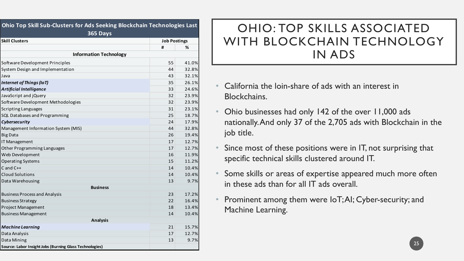| Ohio Top Skill Sub-Clusters for Ads Seeking Blockchain Technologies Last |    |                     |  |  |
|--------------------------------------------------------------------------|----|---------------------|--|--|
| 365 Days                                                                 |    |                     |  |  |
| <b>Skill Clusters</b>                                                    | #  | <b>Job Postings</b> |  |  |
|                                                                          |    | ℅                   |  |  |
| <b>Information Technology</b>                                            |    |                     |  |  |
| Software Development Principles                                          | 55 | 41.0%               |  |  |
| System Design and Implementation                                         | 44 | 32.8%               |  |  |
| Java                                                                     | 43 | 32.1%               |  |  |
| Internet of Things (IoT)                                                 | 35 | 26.1%               |  |  |
| <b>Artificial Intelligence</b>                                           | 33 | 24.6%               |  |  |
| JavaScript and jQuery                                                    | 32 | 23.9%               |  |  |
| Software Development Methodologies                                       | 32 | 23.9%               |  |  |
| <b>Scripting Languages</b>                                               | 31 | 23.1%               |  |  |
| SQL Databases and Programming                                            | 25 | 18.7%               |  |  |
| Cybersecurity                                                            | 24 | 17.9%               |  |  |
| Management Information System (MIS)                                      | 44 | 32.8%               |  |  |
| <b>Big Data</b>                                                          | 26 | 19.4%               |  |  |
| IT Management                                                            | 17 | 12.7%               |  |  |
| Other Programming Languages                                              | 17 | 12.7%               |  |  |
| Web Development                                                          | 16 | 11.9%               |  |  |
| <b>Operating Systems</b>                                                 | 15 | 11.2%               |  |  |
| $C$ and $C++$                                                            | 14 | 10.4%               |  |  |
| <b>Cloud Solutions</b>                                                   | 14 | 10.4%               |  |  |
| Data Warehousing                                                         | 13 | 9.7%                |  |  |
| <b>Business</b>                                                          |    |                     |  |  |
| <b>Business Process and Analysis</b>                                     | 23 | 17.2%               |  |  |
| <b>Business Strategy</b>                                                 | 22 | 16.4%               |  |  |
| Project Management                                                       | 18 | 13.4%               |  |  |
| <b>Business Management</b>                                               | 14 | 10.4%               |  |  |
| <b>Analysis</b>                                                          |    |                     |  |  |
| <b>Machine Learning</b>                                                  | 21 | 15.7%               |  |  |
| Data Analysis                                                            | 17 | 12.7%               |  |  |
| Data Mining                                                              | 13 | 9.7%                |  |  |
| Source: Labor Insight Jobs (Burning Glass Technologies)                  |    |                     |  |  |

## OHIO: TOP SKILLS ASSOCIATED WITH BLOCKCHAIN TECHNOLOGY IN ADS

- California the loin-share of ads with an interest in Blockchains.
- Ohio businesses had only 142 of the over 11,000 ads nationally. And only 37 of the 2,705 ads with Blockchain in the job title.
- Since most of these positions were in IT, not surprising that specific technical skills clustered around IT.
- Some skills or areas of expertise appeared much more often in these ads than for all IT ads overall.
- Prominent among them were IoT; AI; Cyber-security; and Machine Learning.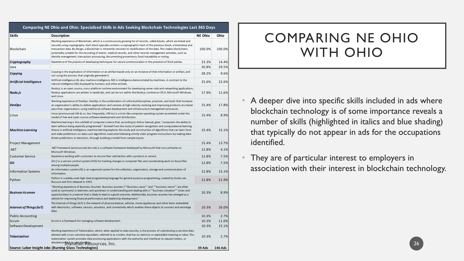| Skills                     | <b>Description</b>                                                                                                                                                                                                                                                                                                                                                                                                                                                                                                                                                                                   | <b>NE Ohio</b> | Ohio    |
|----------------------------|------------------------------------------------------------------------------------------------------------------------------------------------------------------------------------------------------------------------------------------------------------------------------------------------------------------------------------------------------------------------------------------------------------------------------------------------------------------------------------------------------------------------------------------------------------------------------------------------------|----------------|---------|
| Blockchain                 | Working experience of Blockchain, which is a continuously growing list of records, called blocks, which are linked and<br>secured using cryptography. Each block typically contains a cryptographic hash of the previous block, a timestamp and<br>transaction data. By design, a blockchain is inherently resistant to modification of the data. This makes blockchains<br>potentially suitable for the recording of events, medical records, and other records management activities, such as<br>identity management, transaction processing, documenting provenance, food traceability or voting. | 100.0%         | 100.0%  |
| Cryptography               | Experience of the practice of developing techniques for secure communication in the presence of third parties.                                                                                                                                                                                                                                                                                                                                                                                                                                                                                       | 33.3%          | 14.4%   |
| Java                       |                                                                                                                                                                                                                                                                                                                                                                                                                                                                                                                                                                                                      | 30.8%          | 29.5%   |
| Copying                    | Copying is the duplication of information or an artifact based only on an instance of that information or artifact, and<br>not using the process that originally generated it.                                                                                                                                                                                                                                                                                                                                                                                                                       | 28.2%          | 9.6%    |
| Artificial Intelligence    | Artificial intelligence (AI, also machine intelligence, MI) is intelligence demonstrated by machines, in contrast to the<br>natural intelligence (NI) displayed by humans and other animals.                                                                                                                                                                                                                                                                                                                                                                                                         | 25.6%          | 22.6%   |
| Node.js                    | Node.js is an open source, cross-platform runtime environment for developing server-side and networking applications.<br>Node.js applications are written in JavaScript, and can be run within the Node.js runtime on OS X, Microsoft Windows,<br>and Linux.                                                                                                                                                                                                                                                                                                                                         | 17.9%          | 11.6%   |
| <b>DevOps</b>              | Working experience of DevOps. DevOps is the combination of cultural philosophies, practices, and tools that increases<br>an organization's ability to deliver applications and services at high velocity: evolving and improving products at a faster<br>pace than organizations using traditional software development and infrastructure management processes.                                                                                                                                                                                                                                     | 15.4%          | 17.8%   |
| Linux                      | Linux (pronounced LIN-ks or, less frequently, LYN-ks) is a Unix-like computer operating system assembled under the<br>model of free and open-source software development and distribution.                                                                                                                                                                                                                                                                                                                                                                                                           | 15.4%          | 8.9%    |
| <b>Machine Learning</b>    | Machine learning is the subfield of computer science that, according to Arthur Samuel, gives "computers the ability to<br>learn without being explicitly programmed." Evolved from the study of pattern recognition and computational learning<br>theory in artificial intelligence, machine learning explores the study and construction of algorithms that can learn from<br>and make predictions on data such algorithms overcome following strictly static program instructions by making data-<br>driven predictions or decisions, through building a model from sample inputs.                 | 15.4%          | 15.1%   |
| Project Management         |                                                                                                                                                                                                                                                                                                                                                                                                                                                                                                                                                                                                      | 15.4%          | 13.7%   |
| .NET                       | .NET Framework (pronounced dot net) is a software framework developed by Microsoft that runs primarily on<br>Microsoft Windows.                                                                                                                                                                                                                                                                                                                                                                                                                                                                      | 12.8%          | 4.1%    |
| Customer Service           | Experience working with customers to ensure their satisfaction with a product or service.                                                                                                                                                                                                                                                                                                                                                                                                                                                                                                            | 12.8%          | 7.5%    |
| Git                        | Git () is a version control system (VCS) for tracking changes in computer files and coordinating work on those files<br>among multiple people.                                                                                                                                                                                                                                                                                                                                                                                                                                                       | 12.8%          | 7.5%    |
| <b>Information Systems</b> | An information system (IS) is an organized system for the collection, organization, storage and communication of<br>information.                                                                                                                                                                                                                                                                                                                                                                                                                                                                     | 12.8%          | 15.1%   |
| Python                     | Python is a widely used high-level programming language for general-purpose programming, created by Guido van<br>Rossum and first released in 1991.                                                                                                                                                                                                                                                                                                                                                                                                                                                  | 12.8%          | 21.9%   |
| Business Acumen            | "Working experience of Business Acumen. Business acumen (""Business savvy"" and ""business sense"" are often<br>used as synonyms) is keenness and quickness in understanding and dealing with a ""business situation"" (risks and<br>opportunities) in a manner that is likely to lead to a good outcome. Additionally, business acumen has emerged as a<br>vehicle for improving financial performance and leadership development."                                                                                                                                                                 | 10.3%          | 8.9%    |
| Internet of Things (IoT)   | The Internet of things (IoT) is the network of physical devices, vehicles, home appliances and other items embedded<br>with electronics, software, sensors, actuators, and connectivity which enables these objects to connect and exchange<br>data.                                                                                                                                                                                                                                                                                                                                                 | 10.3%          | 26.0%   |
| <b>Public Accounting</b>   |                                                                                                                                                                                                                                                                                                                                                                                                                                                                                                                                                                                                      | 10.3%          | 2.7%    |
| Scrum                      | Scrum is a framework for managing software development.                                                                                                                                                                                                                                                                                                                                                                                                                                                                                                                                              | 10.3%          | 11.0%   |
| Software Development       |                                                                                                                                                                                                                                                                                                                                                                                                                                                                                                                                                                                                      | 10.3%          | 15.1%   |
| Tokenization               | Working experience of Tokenization, which, when applied to data security, is the process of substituting a sensitive data<br>element with a non-sensitive equivalent, referred to as a token, that has no extrinsic or exploitable meaning or value. The<br>tokenization system provides data processing applications with the authority and interfaces to request tokens, or<br>detokenizeg*khananiireResources, Inc.                                                                                                                                                                               | 10.3%          | 2.7%    |
|                            | Source: Labor Insight Jobs (Burning Glass Technologies)                                                                                                                                                                                                                                                                                                                                                                                                                                                                                                                                              | 39 Ads         | 146 Ads |

## COMPARING NE OHIO WITH OHIO

- A deeper dive into specific skills included in ads where blockchain technology is of some importance reveals a number of skills (highlighted in italics and blue shading) that typically do not appear in ads for the occupations identified.
- They are of particular interest to employers in association with their interest in blockchain technology.

26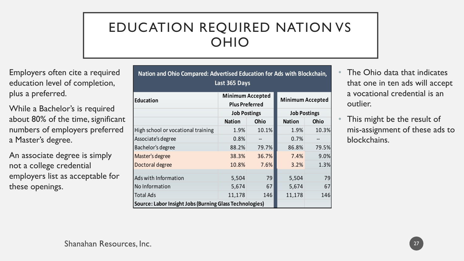## EDUCATION REQUIRED NATION VS OHIO

**Nation and Ohio Compared: Advertised Education for Ads with Blockchain,**

Employers often cite a required education level of completion, plus a preferred.

While a Bachelor's is required about 80% of the time, significant numbers of employers preferred a Master's degree.

An associate degree is simply not a college credential employers list as acceptable for these openings.

| Last 365 Days                                           |                                                  |             |                         |             |  |
|---------------------------------------------------------|--------------------------------------------------|-------------|-------------------------|-------------|--|
| <b>Education</b>                                        | <b>Minimum Accepted</b><br><b>Plus Preferred</b> |             | <b>Minimum Accepted</b> |             |  |
|                                                         | <b>Job Postings</b>                              |             | <b>Job Postings</b>     |             |  |
|                                                         | <b>Nation</b>                                    | <b>Ohio</b> | <b>Nation</b>           | <b>Ohio</b> |  |
| High school or vocational training                      | 1.9%                                             | 10.1%       | 1.9%                    | 10.3%       |  |
| Associate's degree                                      | 0.8%                                             | --          | 0.7%                    |             |  |
| Bachelor's degree                                       | 88.2%                                            | 79.7%       | 86.8%                   | 79.5%       |  |
| Master's degree                                         | 38.3%                                            | 36.7%       | 7.4%                    | 9.0%        |  |
| Doctoral degree                                         | 10.8%                                            | 7.6%        | 3.2%                    | 1.3%        |  |
| Ads with Information                                    | 5,504                                            | 79          | 5,504                   | 79          |  |
| No Information                                          | 5,674                                            | 67          | 5,674                   | 67          |  |
| <b>Total Ads</b>                                        | 11,178                                           | 146         | 11,178                  | 146         |  |
| Source: Labor Insight Jobs (Burning Glass Technologies) |                                                  |             |                         |             |  |

- The Ohio data that indicates that one in ten ads will accept a vocational credential is an outlier.
- This might be the result of mis-assignment of these ads to blockchains.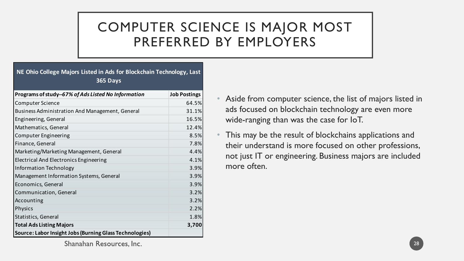# COMPUTER SCIENCE IS MAJOR MOST PREFERRED BY EMPLOYERS

#### **NE Ohio College Majors Listed in Ads for Blockchain Technology, Last 365 Days**

| Programs of study--67% of Ads Listed No Information     | <b>Job Postings</b> |
|---------------------------------------------------------|---------------------|
| <b>Computer Science</b>                                 | 64.5%               |
| Business Administration And Management, General         | 31.1%               |
| Engineering, General                                    | 16.5%               |
| Mathematics, General                                    | 12.4%               |
| Computer Engineering                                    | 8.5%                |
| Finance, General                                        | 7.8%                |
| Marketing/Marketing Management, General                 | 4.4%                |
| Electrical And Electronics Engineering                  | 4.1%                |
| <b>Information Technology</b>                           | 3.9%                |
| Management Information Systems, General                 | 3.9%                |
| Economics, General                                      | 3.9%                |
| Communication, General                                  | 3.2%                |
| Accounting                                              | 3.2%                |
| <b>Physics</b>                                          | 2.2%                |
| Statistics, General                                     | 1.8%                |
| <b>Total Ads Listing Majors</b>                         | 3,700               |
| Source: Labor Insight Jobs (Burning Glass Technologies) |                     |

- Aside from computer science, the list of majors listed in ads focused on blockchain technology are even more wide-ranging than was the case for IoT.
- This may be the result of blockchains applications and their understand is more focused on other professions, not just IT or engineering. Business majors are included more often.